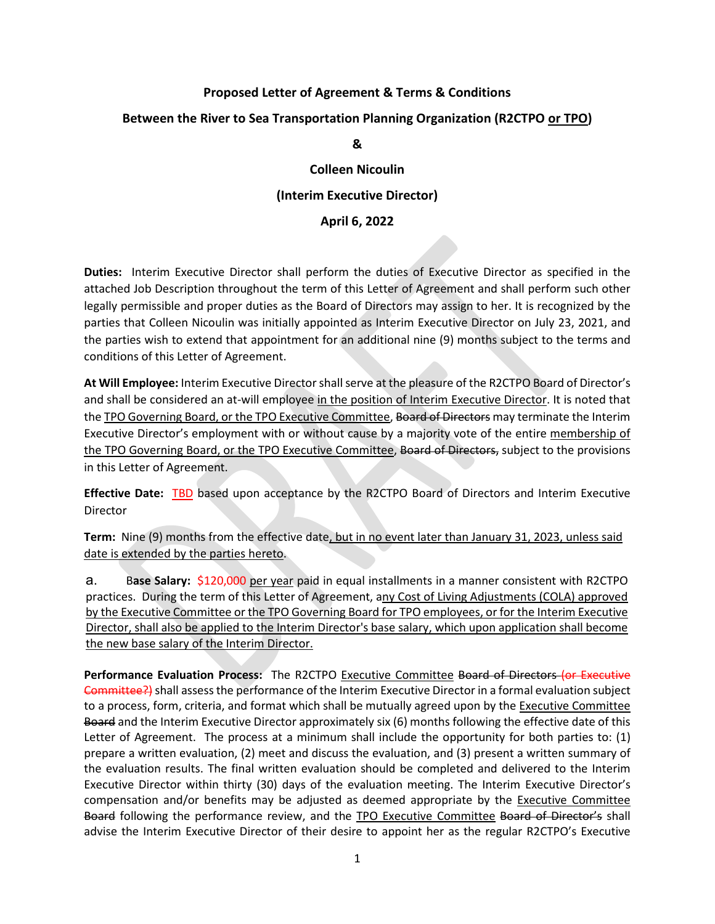# **Proposed Letter of Agreement & Terms & Conditions Between the River to Sea Transportation Planning Organization (R2CTPO or TPO) &**

# **Colleen Nicoulin (Interim Executive Director)**

# **April 6, 2022**

**Duties:** Interim Executive Director shall perform the duties of Executive Director as specified in the attached Job Description throughout the term of this Letter of Agreement and shall perform such other legally permissible and proper duties as the Board of Directors may assign to her. It is recognized by the parties that Colleen Nicoulin was initially appointed as Interim Executive Director on July 23, 2021, and the parties wish to extend that appointment for an additional nine (9) months subject to the terms and conditions of this Letter of Agreement.

**At Will Employee:** Interim Executive Directorshall serve at the pleasure of the R2CTPO Board of Director's and shall be considered an at-will employee in the position of Interim Executive Director. It is noted that the TPO Governing Board, or the TPO Executive Committee, Board of Directors may terminate the Interim Executive Director's employment with or without cause by a majority vote of the entire membership of the TPO Governing Board, or the TPO Executive Committee, Board of Directors, subject to the provisions in this Letter of Agreement.

**Effective Date:** TBD based upon acceptance by the R2CTPO Board of Directors and Interim Executive Director

**Term:** Nine (9) months from the effective date, but in no event later than January 31, 2023, unless said date is extended by the parties hereto.

a. B**ase Salary:** \$120,000 per year paid in equal installments in a manner consistent with R2CTPO practices. During the term of this Letter of Agreement, any Cost of Living Adjustments (COLA) approved by the Executive Committee or the TPO Governing Board for TPO employees, or for the Interim Executive Director, shall also be applied to the Interim Director's base salary, which upon application shall become the new base salary of the Interim Director.

**Performance Evaluation Process:** The R2CTPO Executive Committee Board of Directors (or Executive Eommittee?) shall assess the performance of the Interim Executive Director in a formal evaluation subject to a process, form, criteria, and format which shall be mutually agreed upon by the Executive Committee Board and the Interim Executive Director approximately six (6) months following the effective date of this Letter of Agreement. The process at a minimum shall include the opportunity for both parties to: (1) prepare a written evaluation, (2) meet and discuss the evaluation, and (3) present a written summary of the evaluation results. The final written evaluation should be completed and delivered to the Interim Executive Director within thirty (30) days of the evaluation meeting. The Interim Executive Director's compensation and/or benefits may be adjusted as deemed appropriate by the Executive Committee Board following the performance review, and the TPO Executive Committee Board of Director's shall advise the Interim Executive Director of their desire to appoint her as the regular R2CTPO's Executive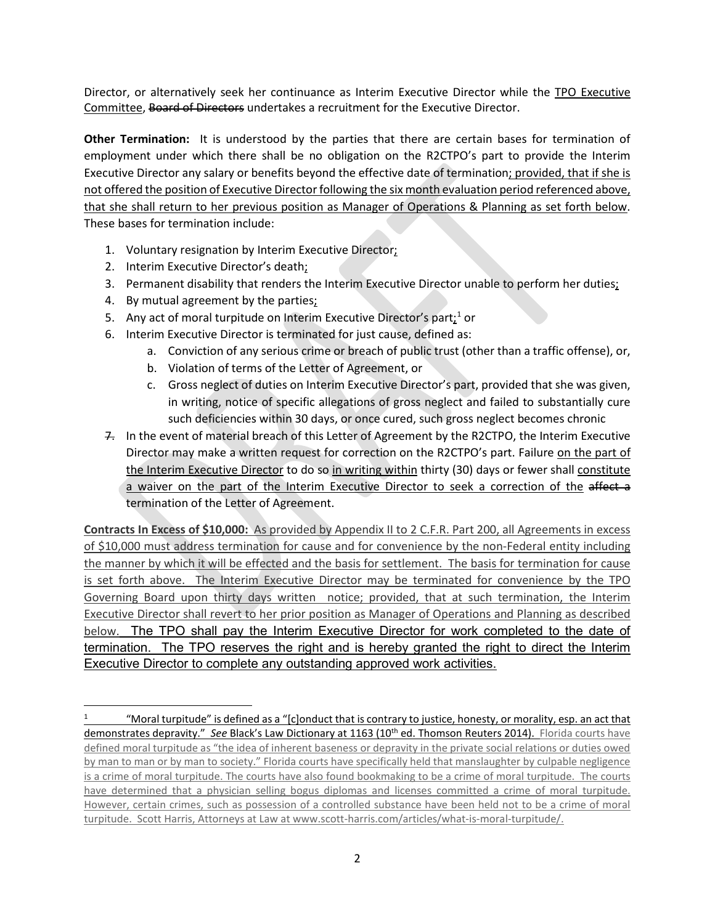Director, or alternatively seek her continuance as Interim Executive Director while the TPO Executive Committee, Board of Directors undertakes a recruitment for the Executive Director.

**Other Termination:** It is understood by the parties that there are certain bases for termination of employment under which there shall be no obligation on the R2CTPO's part to provide the Interim Executive Director any salary or benefits beyond the effective date of termination; provided, that if she is not offered the position of Executive Director following the six month evaluation period referenced above, that she shall return to her previous position as Manager of Operations & Planning as set forth below. These bases for termination include:

- 1. Voluntary resignation by Interim Executive Director;
- 2. Interim Executive Director's death;
- 3. Permanent disability that renders the Interim Executive Director unable to perform her duties;
- 4. By mutual agreement by the parties;
- 5. Any act of moral turpitude on Interim Executive Director's part $:1$  $:1$ <sup>1</sup> or
- 6. Interim Executive Director is terminated for just cause, defined as:
	- a. Conviction of any serious crime or breach of public trust (other than a traffic offense), or,
	- b. Violation of terms of the Letter of Agreement, or
	- c. Gross neglect of duties on Interim Executive Director's part, provided that she was given, in writing, notice of specific allegations of gross neglect and failed to substantially cure such deficiencies within 30 days, or once cured, such gross neglect becomes chronic
- 7. In the event of material breach of this Letter of Agreement by the R2CTPO, the Interim Executive Director may make a written request for correction on the R2CTPO's part. Failure on the part of the Interim Executive Director to do so in writing within thirty (30) days or fewer shall constitute a waiver on the part of the Interim Executive Director to seek a correction of the affect a termination of the Letter of Agreement.

**Contracts In Excess of \$10,000:** As provided by Appendix II to 2 C.F.R. Part 200, all Agreements in excess of \$10,000 must address termination for cause and for convenience by the non-Federal entity including the manner by which it will be effected and the basis for settlement. The basis for termination for cause is set forth above. The Interim Executive Director may be terminated for convenience by the TPO Governing Board upon thirty days written notice; provided, that at such termination, the Interim Executive Director shall revert to her prior position as Manager of Operations and Planning as described below. The TPO shall pay the Interim Executive Director for work completed to the date of termination. The TPO reserves the right and is hereby granted the right to direct the Interim Executive Director to complete any outstanding approved work activities.

<span id="page-1-0"></span><sup>&</sup>quot;Moral turpitude" is defined as a "[c]onduct that is contrary to justice, honesty, or morality, esp. an act that demonstrates depravity." See Black's Law Dictionary at 1163 (10<sup>th</sup> ed. Thomson Reuters 2014). Florida courts have defined moral turpitude as "the idea of inherent baseness or depravity in the private social relations or duties owed by man to man or by man to society." Florida courts have specifically held that manslaughter by culpable negligence is a crime of moral turpitude. The courts have also found bookmaking to be a crime of moral turpitude. The courts have determined that a physician selling bogus diplomas and licenses committed a crime of moral turpitude. However, certain crimes, such as possession of a controlled substance have been held not to be a crime of moral turpitude. Scott Harris, Attorneys at Law at www.scott-harris.com/articles/what-is-moral-turpitude/.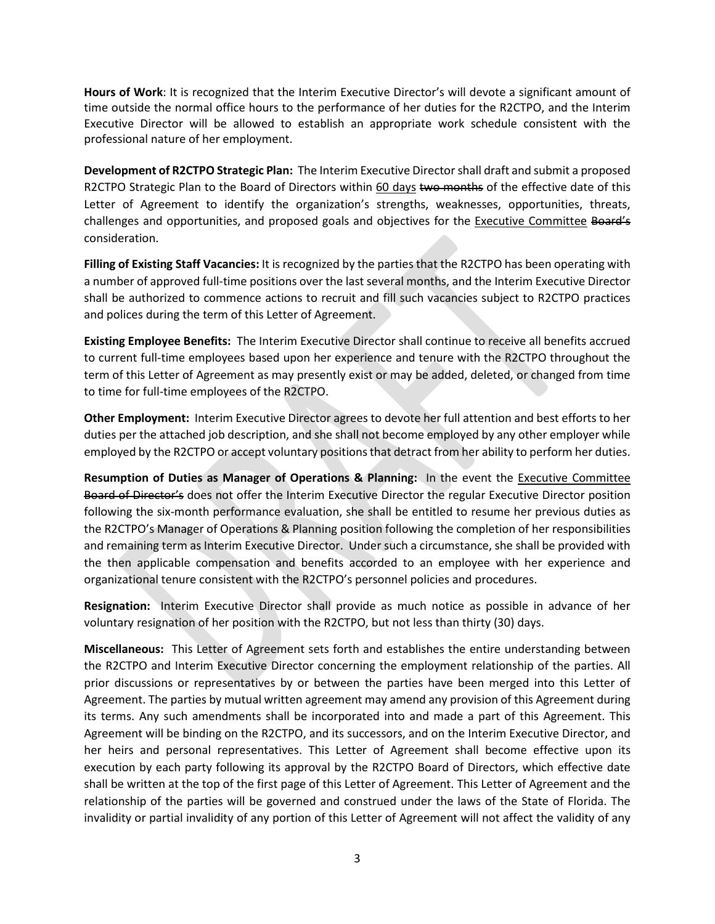**Hours of Work**: It is recognized that the Interim Executive Director's will devote a significant amount of time outside the normal office hours to the performance of her duties for the R2CTPO, and the Interim Executive Director will be allowed to establish an appropriate work schedule consistent with the professional nature of her employment.

**Development of R2CTPO Strategic Plan:** The Interim Executive Director shall draft and submit a proposed R2CTPO Strategic Plan to the Board of Directors within 60 days two months of the effective date of this Letter of Agreement to identify the organization's strengths, weaknesses, opportunities, threats, challenges and opportunities, and proposed goals and objectives for the Executive Committee Board's consideration.

**Filling of Existing Staff Vacancies:** It is recognized by the parties that the R2CTPO has been operating with a number of approved full-time positions over the last several months, and the Interim Executive Director shall be authorized to commence actions to recruit and fill such vacancies subject to R2CTPO practices and polices during the term of this Letter of Agreement.

**Existing Employee Benefits:** The Interim Executive Director shall continue to receive all benefits accrued to current full-time employees based upon her experience and tenure with the R2CTPO throughout the term of this Letter of Agreement as may presently exist or may be added, deleted, or changed from time to time for full-time employees of the R2CTPO.

**Other Employment:** Interim Executive Director agrees to devote her full attention and best efforts to her duties per the attached job description, and she shall not become employed by any other employer while employed by the R2CTPO or accept voluntary positions that detract from her ability to perform her duties.

**Resumption of Duties as Manager of Operations & Planning:** In the event the Executive Committee Board of Director's does not offer the Interim Executive Director the regular Executive Director position following the six-month performance evaluation, she shall be entitled to resume her previous duties as the R2CTPO's Manager of Operations & Planning position following the completion of her responsibilities and remaining term as Interim Executive Director. Under such a circumstance, she shall be provided with the then applicable compensation and benefits accorded to an employee with her experience and organizational tenure consistent with the R2CTPO's personnel policies and procedures.

**Resignation:** Interim Executive Director shall provide as much notice as possible in advance of her voluntary resignation of her position with the R2CTPO, but not less than thirty (30) days.

**Miscellaneous:** This Letter of Agreement sets forth and establishes the entire understanding between the R2CTPO and Interim Executive Director concerning the employment relationship of the parties. All prior discussions or representatives by or between the parties have been merged into this Letter of Agreement. The parties by mutual written agreement may amend any provision of this Agreement during its terms. Any such amendments shall be incorporated into and made a part of this Agreement. This Agreement will be binding on the R2CTPO, and its successors, and on the Interim Executive Director, and her heirs and personal representatives. This Letter of Agreement shall become effective upon its execution by each party following its approval by the R2CTPO Board of Directors, which effective date shall be written at the top of the first page of this Letter of Agreement. This Letter of Agreement and the relationship of the parties will be governed and construed under the laws of the State of Florida. The invalidity or partial invalidity of any portion of this Letter of Agreement will not affect the validity of any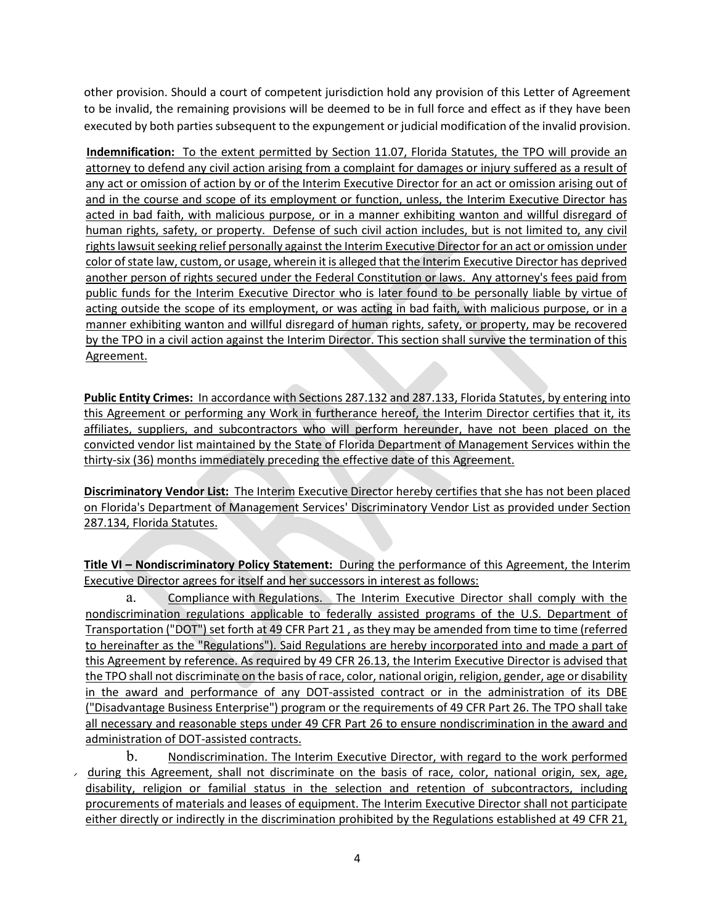other provision. Should a court of competent jurisdiction hold any provision of this Letter of Agreement to be invalid, the remaining provisions will be deemed to be in full force and effect as if they have been executed by both parties subsequent to the expungement or judicial modification of the invalid provision.

**Indemnification:** To the extent permitted by Section 11.07, Florida Statutes, the TPO will provide an attorney to defend any civil action arising from a complaint for damages or injury suffered as a result of any act or omission of action by or of the Interim Executive Director for an act or omission arising out of and in the course and scope of its employment or function, unless, the Interim Executive Director has acted in bad faith, with malicious purpose, or in a manner exhibiting wanton and willful disregard of human rights, safety, or property. Defense of such civil action includes, but is not limited to, any civil rights lawsuit seeking relief personally against the Interim Executive Director for an act or omission under color of state law, custom, or usage, wherein it is alleged that the Interim Executive Director has deprived another person of rights secured under the Federal Constitution or laws. Any attorney's fees paid from public funds for the Interim Executive Director who is later found to be personally liable by virtue of acting outside the scope of its employment, or was acting in bad faith, with malicious purpose, or in a manner exhibiting wanton and willful disregard of human rights, safety, or property, may be recovered by the TPO in a civil action against the Interim Director. This section shall survive the termination of this Agreement.

**Public Entity Crimes:** In accordance with Sections 287.132 and 287.133, Florida Statutes, by entering into this Agreement or performing any Work in furtherance hereof, the Interim Director certifies that it, its affiliates, suppliers, and subcontractors who will perform hereunder, have not been placed on the convicted vendor list maintained by the State of Florida Department of Management Services within the thirty-six (36) months immediately preceding the effective date of this Agreement.

**Discriminatory Vendor List:** The Interim Executive Director hereby certifies that she has not been placed on Florida's Department of Management Services' Discriminatory Vendor List as provided under Section 287.134, Florida Statutes.

**Title VI – Nondiscriminatory Policy Statement:** During the performance of this Agreement, the Interim Executive Director agrees for itself and her successors in interest as follows:

a. Compliance with Regulations. The Interim Executive Director shall comply with the nondiscrimination regulations applicable to federally assisted programs of the U.S. Department of Transportation ("DOT") set forth at 49 CFR Part 21 , as they may be amended from time to time (referred to hereinafter as the "Regulations"). Said Regulations are hereby incorporated into and made a part of this Agreement by reference. As required by 49 CFR 26.13, the Interim Executive Director is advised that the TPO shall not discriminate on the basis of race, color, national origin, religion, gender, age or disability in the award and performance of any DOT-assisted contract or in the administration of its DBE ("Disadvantage Business Enterprise") program or the requirements of 49 CFR Part 26. The TPO shall take all necessary and reasonable steps under 49 CFR Part 26 to ensure nondiscrimination in the award and administration of DOT-assisted contracts.

b. Nondiscrimination. The Interim Executive Director, with regard to the work performed  $\overline{\phantom{a}}$  during this Agreement, shall not discriminate on the basis of race, color, national origin, sex, age, disability, religion or familial status in the selection and retention of subcontractors, including procurements of materials and leases of equipment. The Interim Executive Director shall not participate either directly or indirectly in the discrimination prohibited by the Regulations established at 49 CFR 21,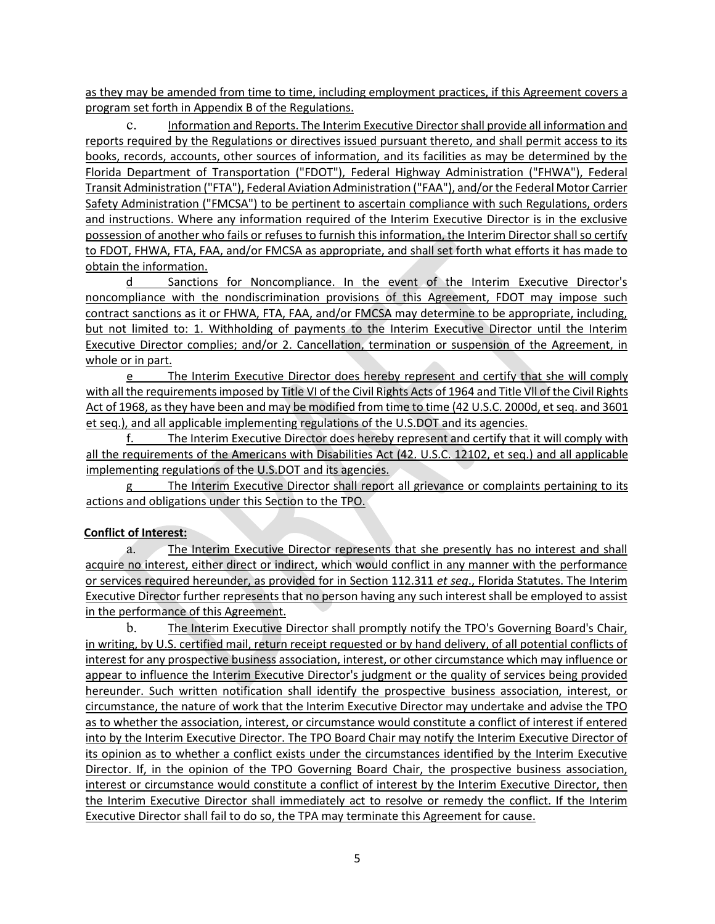as they may be amended from time to time, including employment practices, if this Agreement covers a program set forth in Appendix B of the Regulations.

c. Information and Reports. The Interim Executive Director shall provide all information and reports required by the Regulations or directives issued pursuant thereto, and shall permit access to its books, records, accounts, other sources of information, and its facilities as may be determined by the Florida Department of Transportation ("FDOT"), Federal Highway Administration ("FHWA"), Federal Transit Administration ("FTA"), Federal Aviation Administration ("FAA"), and/or the Federal Motor Carrier Safety Administration ("FMCSA") to be pertinent to ascertain compliance with such Regulations, orders and instructions. Where any information required of the Interim Executive Director is in the exclusive possession of another who fails or refuses to furnish this information, the Interim Director shall so certify to FDOT, FHWA, FTA, FAA, and/or FMCSA as appropriate, and shall set forth what efforts it has made to obtain the information.

d Sanctions for Noncompliance. In the event of the Interim Executive Director's noncompliance with the nondiscrimination provisions of this Agreement, FDOT may impose such contract sanctions as it or FHWA, FTA, FAA, and/or FMCSA may determine to be appropriate, including, but not limited to: 1. Withholding of payments to the Interim Executive Director until the Interim Executive Director complies; and/or 2. Cancellation, termination or suspension of the Agreement, in whole or in part.

e The Interim Executive Director does hereby represent and certify that she will comply with all the requirements imposed by Title VI of the Civil Rights Acts of 1964 and Title Vll of the Civil Rights Act of 1968, as they have been and may be modified from time to time (42 U.S.C. 2000d, et seq. and 3601 et seq.), and all applicable implementing regulations of the U.S.DOT and its agencies.

f. The Interim Executive Director does hereby represent and certify that it will comply with all the requirements of the Americans with Disabilities Act (42. U.S.C. 12102, et seq.) and all applicable implementing regulations of the U.S.DOT and its agencies.

The Interim Executive Director shall report all grievance or complaints pertaining to its actions and obligations under this Section to the TPO.

#### **Conflict of Interest:**

a. The Interim Executive Director represents that she presently has no interest and shall acquire no interest, either direct or indirect, which would conflict in any manner with the performance or services required hereunder, as provided for in Section 112.311 *et seq*., Florida Statutes. The Interim Executive Director further represents that no person having any such interest shall be employed to assist in the performance of this Agreement.

b. The Interim Executive Director shall promptly notify the TPO's Governing Board's Chair, in writing, by U.S. certified mail, return receipt requested or by hand delivery, of all potential conflicts of interest for any prospective business association, interest, or other circumstance which may influence or appear to influence the Interim Executive Director's judgment or the quality of services being provided hereunder. Such written notification shall identify the prospective business association, interest, or circumstance, the nature of work that the Interim Executive Director may undertake and advise the TPO as to whether the association, interest, or circumstance would constitute a conflict of interest if entered into by the Interim Executive Director. The TPO Board Chair may notify the Interim Executive Director of its opinion as to whether a conflict exists under the circumstances identified by the Interim Executive Director. If, in the opinion of the TPO Governing Board Chair, the prospective business association, interest or circumstance would constitute a conflict of interest by the Interim Executive Director, then the Interim Executive Director shall immediately act to resolve or remedy the conflict. If the Interim Executive Director shall fail to do so, the TPA may terminate this Agreement for cause.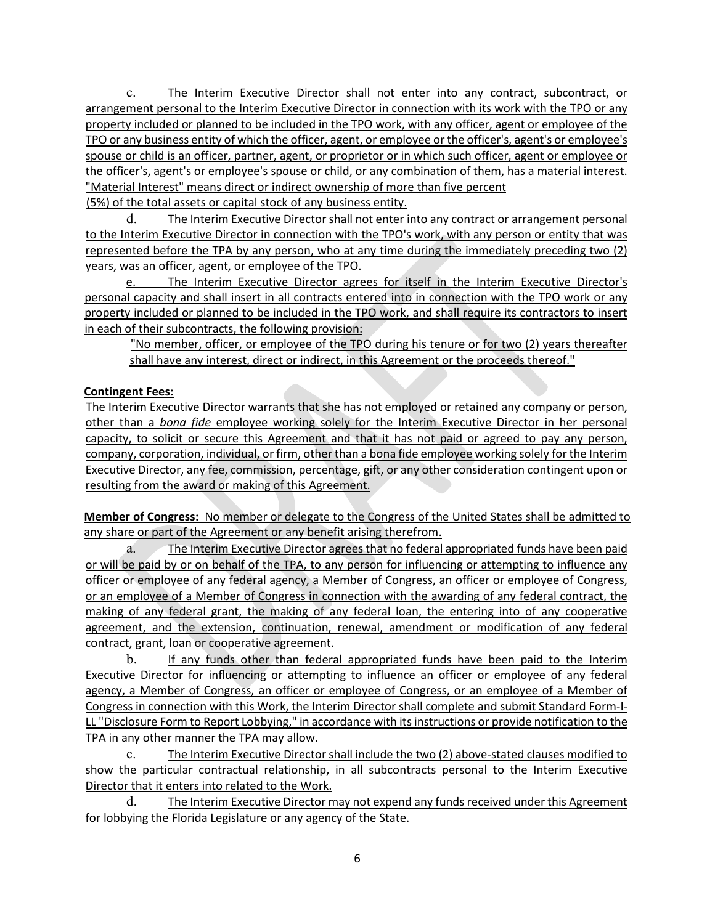c. The Interim Executive Director shall not enter into any contract, subcontract, or arrangement personal to the Interim Executive Director in connection with its work with the TPO or any property included or planned to be included in the TPO work, with any officer, agent or employee of the TPO or any business entity of which the officer, agent, or employee or the officer's, agent's or employee's spouse or child is an officer, partner, agent, or proprietor or in which such officer, agent or employee or the officer's, agent's or employee's spouse or child, or any combination of them, has a material interest. "Material Interest" means direct or indirect ownership of more than five percent

(5%) of the total assets or capital stock of any business entity.

d. The Interim Executive Director shall not enter into any contract or arrangement personal to the Interim Executive Director in connection with the TPO's work, with any person or entity that was represented before the TPA by any person, who at any time during the immediately preceding two (2) years, was an officer, agent, or employee of the TPO.

e. The Interim Executive Director agrees for itself in the Interim Executive Director's personal capacity and shall insert in all contracts entered into in connection with the TPO work or any property included or planned to be included in the TPO work, and shall require its contractors to insert in each of their subcontracts, the following provision:

"No member, officer, or employee of the TPO during his tenure or for two (2) years thereafter shall have any interest, direct or indirect, in this Agreement or the proceeds thereof."

## **Contingent Fees:**

The Interim Executive Director warrants that she has not employed or retained any company or person, other than a *bona fide* employee working solely for the Interim Executive Director in her personal capacity, to solicit or secure this Agreement and that it has not paid or agreed to pay any person, company, corporation, individual, or firm, other than a bona fide employee working solely for the Interim Executive Director, any fee, commission, percentage, gift, or any other consideration contingent upon or resulting from the award or making of this Agreement.

**Member of Congress:** No member or delegate to the Congress of the United States shall be admitted to any share or part of the Agreement or any benefit arising therefrom.

a. The Interim Executive Director agrees that no federal appropriated funds have been paid or will be paid by or on behalf of the TPA, to any person for influencing or attempting to influence any officer or employee of any federal agency, a Member of Congress, an officer or employee of Congress, or an employee of a Member of Congress in connection with the awarding of any federal contract, the making of any federal grant, the making of any federal loan, the entering into of any cooperative agreement, and the extension, continuation, renewal, amendment or modification of any federal contract, grant, loan or cooperative agreement.

b. If any funds other than federal appropriated funds have been paid to the Interim Executive Director for influencing or attempting to influence an officer or employee of any federal agency, a Member of Congress, an officer or employee of Congress, or an employee of a Member of Congress in connection with this Work, the Interim Director shall complete and submit Standard Form-I-LL "Disclosure Form to Report Lobbying," in accordance with its instructions or provide notification to the TPA in any other manner the TPA may allow.

c. The Interim Executive Director shall include the two (2) above-stated clauses modified to show the particular contractual relationship, in all subcontracts personal to the Interim Executive Director that it enters into related to the Work.

d. The Interim Executive Director may not expend any funds received under this Agreement for lobbying the Florida Legislature or any agency of the State.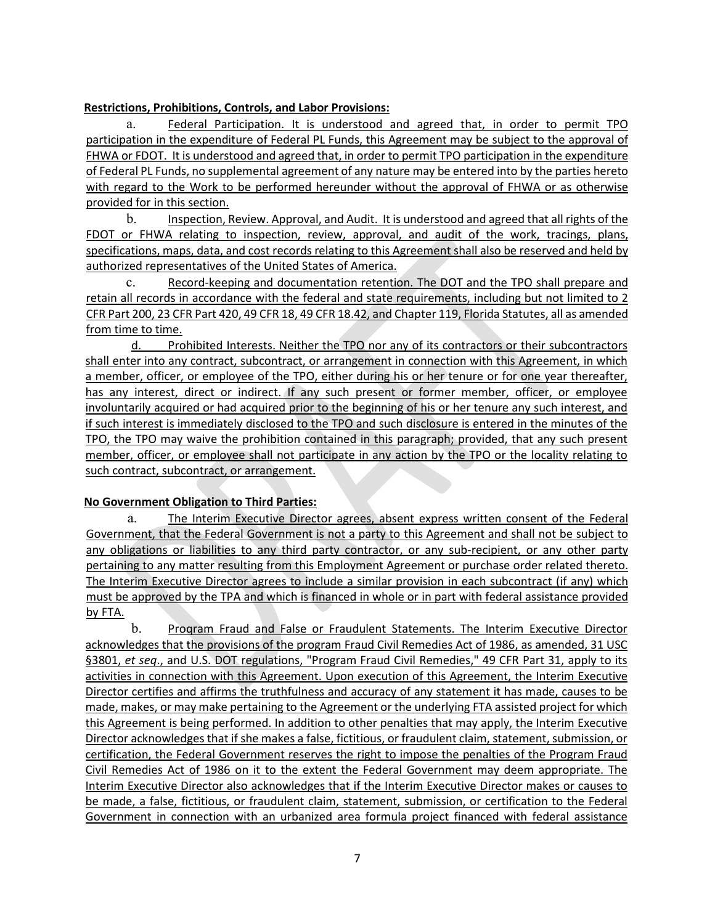#### **Restrictions, Prohibitions, Controls, and Labor Provisions:**

a. Federal Participation. It is understood and agreed that, in order to permit TPO participation in the expenditure of Federal PL Funds, this Agreement may be subject to the approval of FHWA or FDOT. It is understood and agreed that, in order to permit TPO participation in the expenditure of Federal PL Funds, no supplemental agreement of any nature may be entered into by the parties hereto with regard to the Work to be performed hereunder without the approval of FHWA or as otherwise provided for in this section.

b. Inspection, Review. Approval, and Audit. It is understood and agreed that all rights of the FDOT or FHWA relating to inspection, review, approval, and audit of the work, tracings, plans, specifications, maps, data, and cost records relating to this Agreement shall also be reserved and held by authorized representatives of the United States of America.

c. Record-keeping and documentation retention. The DOT and the TPO shall prepare and retain all records in accordance with the federal and state requirements, including but not limited to 2 CFR Part 200, 23 CFR Part 420, 49 CFR 18, 49 CFR 18.42, and Chapter 119, Florida Statutes, all as amended from time to time.

d. Prohibited Interests. Neither the TPO nor any of its contractors or their subcontractors shall enter into any contract, subcontract, or arrangement in connection with this Agreement, in which a member, officer, or employee of the TPO, either during his or her tenure or for one year thereafter, has any interest, direct or indirect. If any such present or former member, officer, or employee involuntarily acquired or had acquired prior to the beginning of his or her tenure any such interest, and if such interest is immediately disclosed to the TPO and such disclosure is entered in the minutes of the TPO, the TPO may waive the prohibition contained in this paragraph; provided, that any such present member, officer, or employee shall not participate in any action by the TPO or the locality relating to such contract, subcontract, or arrangement.

#### **No Government Obligation to Third Parties:**

a. The Interim Executive Director agrees, absent express written consent of the Federal Government, that the Federal Government is not a party to this Agreement and shall not be subject to any obligations or liabilities to any third party contractor, or any sub-recipient, or any other party pertaining to any matter resulting from this Employment Agreement or purchase order related thereto. The Interim Executive Director agrees to include a similar provision in each subcontract (if any) which must be approved by the TPA and which is financed in whole or in part with federal assistance provided by FTA.

b. Program Fraud and False or Fraudulent Statements. The Interim Executive Director acknowledges that the provisions of the program Fraud Civil Remedies Act of 1986, as amended, 31 USC §3801, et seq., and U.S. DOT regulations, "Program Fraud Civil Remedies," 49 CFR Part 31, apply to its activities in connection with this Agreement. Upon execution of this Agreement, the Interim Executive Director certifies and affirms the truthfulness and accuracy of any statement it has made, causes to be made, makes, or may make pertaining to the Agreement or the underlying FTA assisted project for which this Agreement is being performed. In addition to other penalties that may apply, the Interim Executive Director acknowledges that if she makes a false, fictitious, or fraudulent claim, statement, submission, or certification, the Federal Government reserves the right to impose the penalties of the Program Fraud Civil Remedies Act of 1986 on it to the extent the Federal Government may deem appropriate. The Interim Executive Director also acknowledges that if the Interim Executive Director makes or causes to be made, a false, fictitious, or fraudulent claim, statement, submission, or certification to the Federal Government in connection with an urbanized area formula project financed with federal assistance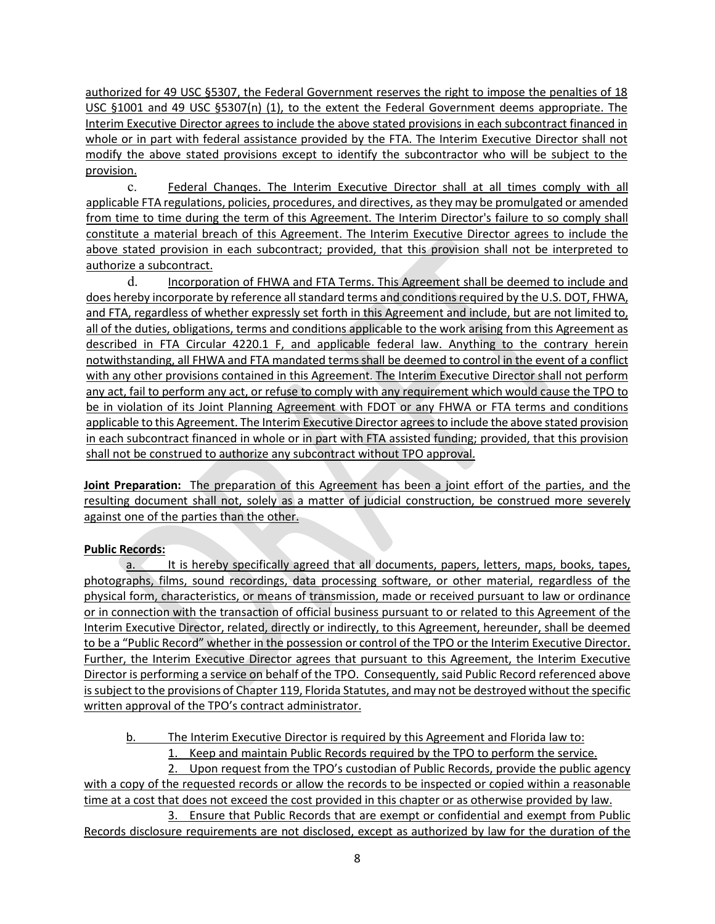authorized for 49 USC §5307, the Federal Government reserves the right to impose the penalties of 18 USC §1001 and 49 USC §5307(n) (1), to the extent the Federal Government deems appropriate. The Interim Executive Director agrees to include the above stated provisions in each subcontract financed in whole or in part with federal assistance provided by the FTA. The Interim Executive Director shall not modify the above stated provisions except to identify the subcontractor who will be subject to the provision.

c. Federal Chanqes. The Interim Executive Director shall at all times comply with all applicable FTA regulations, policies, procedures, and directives, as they may be promulgated or amended from time to time during the term of this Agreement. The Interim Director's failure to so comply shall constitute a material breach of this Agreement. The Interim Executive Director agrees to include the above stated provision in each subcontract; provided, that this provision shall not be interpreted to authorize a subcontract.

d. Incorporation of FHWA and FTA Terms. This Agreement shall be deemed to include and does hereby incorporate by reference all standard terms and conditions required by the U.S. DOT, FHWA, and FTA, regardless of whether expressly set forth in this Agreement and include, but are not limited to, all of the duties, obligations, terms and conditions applicable to the work arising from this Agreement as described in FTA Circular 4220.1 F, and applicable federal law. Anything to the contrary herein notwithstanding, all FHWA and FTA mandated terms shall be deemed to control in the event of a conflict with any other provisions contained in this Agreement. The Interim Executive Director shall not perform any act, fail to perform any act, or refuse to comply with any requirement which would cause the TPO to be in violation of its Joint Planning Agreement with FDOT or any FHWA or FTA terms and conditions applicable to this Agreement. The Interim Executive Director agrees to include the above stated provision in each subcontract financed in whole or in part with FTA assisted funding; provided, that this provision shall not be construed to authorize any subcontract without TPO approval.

**Joint Preparation:** The preparation of this Agreement has been a joint effort of the parties, and the resulting document shall not, solely as a matter of judicial construction, be construed more severely against one of the parties than the other.

## **Public Records:**

a. It is hereby specifically agreed that all documents, papers, letters, maps, books, tapes, photographs, films, sound recordings, data processing software, or other material, regardless of the physical form, characteristics, or means of transmission, made or received pursuant to law or ordinance or in connection with the transaction of official business pursuant to or related to this Agreement of the Interim Executive Director, related, directly or indirectly, to this Agreement, hereunder, shall be deemed to be a "Public Record" whether in the possession or control of the TPO or the Interim Executive Director. Further, the Interim Executive Director agrees that pursuant to this Agreement, the Interim Executive Director is performing a service on behalf of the TPO. Consequently, said Public Record referenced above is subject to the provisions of Chapter 119, Florida Statutes, and may not be destroyed without the specific written approval of the TPO's contract administrator.

- b. The Interim Executive Director is required by this Agreement and Florida law to:
	- 1. Keep and maintain Public Records required by the TPO to perform the service.

2. Upon request from the TPO's custodian of Public Records, provide the public agency with a copy of the requested records or allow the records to be inspected or copied within a reasonable time at a cost that does not exceed the cost provided in this chapter or as otherwise provided by law.

3. Ensure that Public Records that are exempt or confidential and exempt from Public Records disclosure requirements are not disclosed, except as authorized by law for the duration of the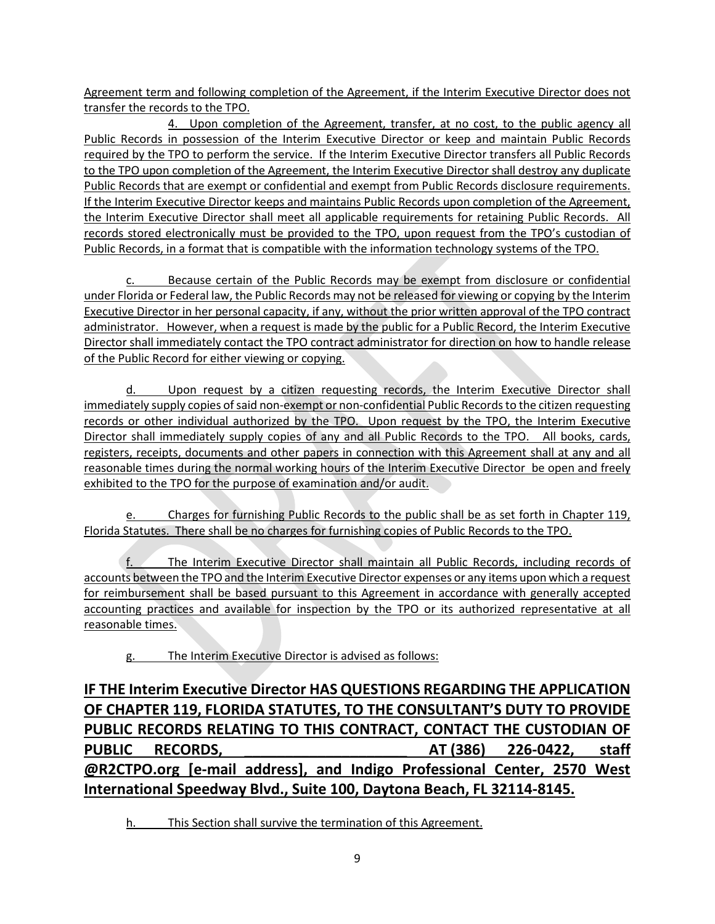Agreement term and following completion of the Agreement, if the Interim Executive Director does not transfer the records to the TPO.

4. Upon completion of the Agreement, transfer, at no cost, to the public agency all Public Records in possession of the Interim Executive Director or keep and maintain Public Records required by the TPO to perform the service. If the Interim Executive Director transfers all Public Records to the TPO upon completion of the Agreement, the Interim Executive Director shall destroy any duplicate Public Records that are exempt or confidential and exempt from Public Records disclosure requirements. If the Interim Executive Director keeps and maintains Public Records upon completion of the Agreement, the Interim Executive Director shall meet all applicable requirements for retaining Public Records. All records stored electronically must be provided to the TPO, upon request from the TPO's custodian of Public Records, in a format that is compatible with the information technology systems of the TPO.

c. Because certain of the Public Records may be exempt from disclosure or confidential under Florida or Federal law, the Public Records may not be released for viewing or copying by the Interim Executive Director in her personal capacity, if any, without the prior written approval of the TPO contract administrator. However, when a request is made by the public for a Public Record, the Interim Executive Director shall immediately contact the TPO contract administrator for direction on how to handle release of the Public Record for either viewing or copying.

Upon request by a citizen requesting records, the Interim Executive Director shall immediately supply copies of said non-exempt or non-confidential Public Records to the citizen requesting records or other individual authorized by the TPO. Upon request by the TPO, the Interim Executive Director shall immediately supply copies of any and all Public Records to the TPO. All books, cards, registers, receipts, documents and other papers in connection with this Agreement shall at any and all reasonable times during the normal working hours of the Interim Executive Director be open and freely exhibited to the TPO for the purpose of examination and/or audit.

Charges for furnishing Public Records to the public shall be as set forth in Chapter 119, Florida Statutes. There shall be no charges for furnishing copies of Public Records to the TPO.

The Interim Executive Director shall maintain all Public Records, including records of accounts between the TPO and the Interim Executive Director expenses or any items upon which a request for reimbursement shall be based pursuant to this Agreement in accordance with generally accepted accounting practices and available for inspection by the TPO or its authorized representative at all reasonable times.

g. The Interim Executive Director is advised as follows:

**IF THE Interim Executive Director HAS QUESTIONS REGARDING THE APPLICATION OF CHAPTER 119, FLORIDA STATUTES, TO THE CONSULTANT'S DUTY TO PROVIDE PUBLIC RECORDS RELATING TO THIS CONTRACT, CONTACT THE CUSTODIAN OF PUBLIC RECORDS, \_\_\_\_\_\_\_\_\_\_\_\_\_\_\_\_\_\_\_\_ AT (386) 226-0422, staff @R2CTPO.org [e-mail address], and Indigo Professional Center, 2570 West International Speedway Blvd., Suite 100, Daytona Beach, FL 32114-8145.**

h. This Section shall survive the termination of this Agreement.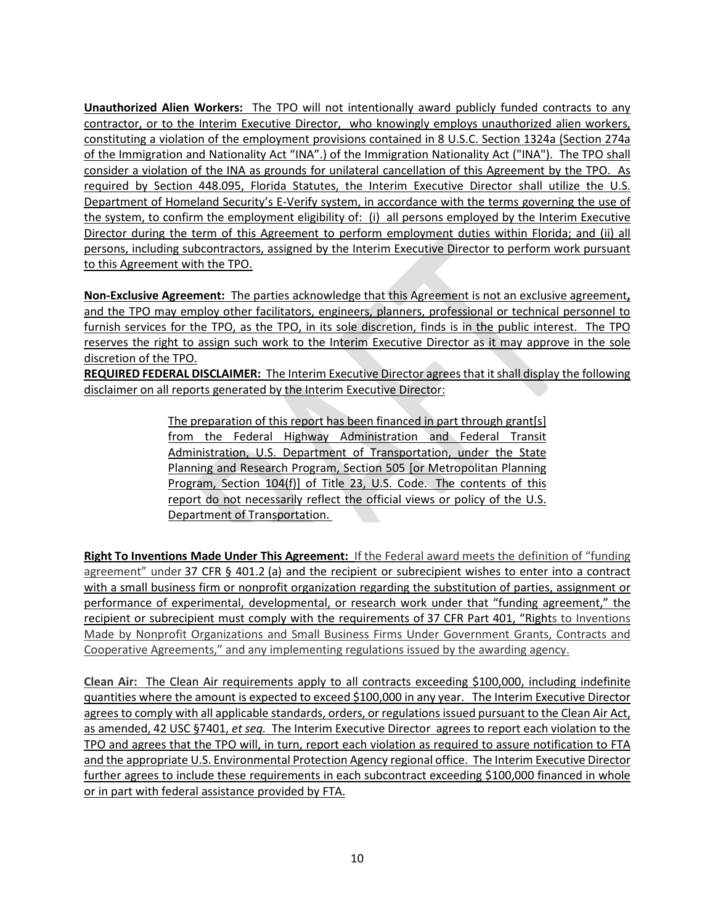**Unauthorized Alien Workers:** The TPO will not intentionally award publicly funded contracts to any contractor, or to the Interim Executive Director, who knowingly employs unauthorized alien workers, constituting a violation of the employment provisions contained in 8 U.S.C. Section 1324a (Section 274a of the Immigration and Nationality Act "INA".) of the Immigration Nationality Act ("INA"). The TPO shall consider a violation of the INA as grounds for unilateral cancellation of this Agreement by the TPO. As required by Section 448.095, Florida Statutes, the Interim Executive Director shall utilize the U.S. Department of Homeland Security's E-Verify system, in accordance with the terms governing the use of the system, to confirm the employment eligibility of: (i) all persons employed by the Interim Executive Director during the term of this Agreement to perform employment duties within Florida; and (ii) all persons, including subcontractors, assigned by the Interim Executive Director to perform work pursuant to this Agreement with the TPO.

**Non-Exclusive Agreement:** The parties acknowledge that this Agreement is not an exclusive agreement**,** and the TPO may employ other facilitators, engineers, planners, professional or technical personnel to furnish services for the TPO, as the TPO, in its sole discretion, finds is in the public interest. The TPO reserves the right to assign such work to the Interim Executive Director as it may approve in the sole discretion of the TPO.

**REQUIRED FEDERAL DISCLAIMER:** The Interim Executive Director agrees that it shall display the following disclaimer on all reports generated by the Interim Executive Director:

> The preparation of this report has been financed in part through grant[s] from the Federal Highway Administration and Federal Transit Administration, U.S. Department of Transportation, under the State Planning and Research Program, Section 505 [or Metropolitan Planning Program, Section 104(f)] of Title 23, U.S. Code. The contents of this report do not necessarily reflect the official views or policy of the U.S. Department of Transportation.

**Right To Inventions Made Under This Agreement:** If the Federal award meets the definition of "funding agreement" under [37 CFR § 401.2](https://www.law.cornell.edu/cfr/text/37/401.2) (a) and the recipient or subrecipient wishes to enter into a contract with a small business firm or nonprofit organization regarding the substitution of parties, assignment or performance of experimental, developmental, or research work under that "funding agreement," the recipient or subrecipient must comply with the requirements of [37 CFR Part 401,](https://www.law.cornell.edu/cfr/text/37/part-401) "Rights to Inventions Made by Nonprofit Organizations and Small Business Firms Under Government Grants, Contracts and Cooperative Agreements," and any implementing regulations issued by the awarding agency.

**Clean Air:** The Clean Air requirements apply to all contracts exceeding \$100,000, including indefinite quantities where the amount is expected to exceed \$100,000 in any year. The Interim Executive Director agrees to comply with all applicable standards, orders, or regulations issued pursuant to the Clean Air Act, as amended, 42 USC §7401, *et seq.* The Interim Executive Director agrees to report each violation to the TPO and agrees that the TPO will, in turn, report each violation as required to assure notification to FTA and the appropriate U.S. Environmental Protection Agency regional office. The Interim Executive Director further agrees to include these requirements in each subcontract exceeding \$100,000 financed in whole or in part with federal assistance provided by FTA.